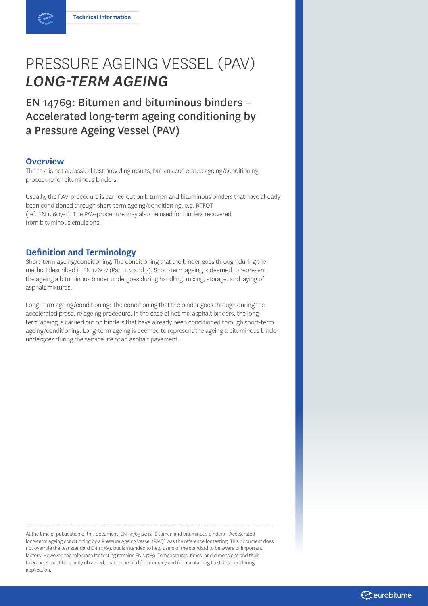# PRESSURE AGEING VESSEL (PAV) *LONG-TERM AGEING*

EN 14769: Bitumen and bituminous binders – Accelerated long-term ageing conditioning by a Pressure Ageing Vessel (PAV)

## **Overview**

The test is not a classical test providing results, but an accelerated ageing/conditioning procedure for bituminous binders.

Usually, the PAV-procedure is carried out on bitumen and bituminous binders that have already been conditioned through short-term ageing/conditioning, e.g. RTFOT (ref. EN 12607-1). The PAV-procedure may also be used for binders recovered from bituminous emulsions.

## **Definition and Terminology**

Short-term ageing/conditioning: The conditioning that the binder goes through during the method described in EN 12607 (Part 1, 2 and 3). Short-term ageing is deemed to represent the ageing a bituminous binder undergoes during handling, mixing, storage, and laying of asphalt mixtures.

Long-term ageing/conditioning: The conditioning that the binder goes through during the accelerated pressure ageing procedure. In the case of hot mix asphalt binders, the longterm ageing is carried out on binders that have already been conditioned through short-term ageing/conditioning. Long-term ageing is deemed to represent the ageing a bituminous binder undergoes during the service life of an asphalt pavement.

At the time of publication of this document, EN 14769:2012 `Bitumen and bituminous binders - Accelerated long-term ageing conditioning by a Pressure Ageing Vessel (PAV)` was the reference for testing. This document does not overrule the test standard EN 14769, but is intended to help users of the standard to be aware of important factors. However, the reference for testing remains EN 14769. Temperatures, times, and dimensions and their tolerances must be strictly observed, that is checked for accuracy and for maintaining the tolerance during application.